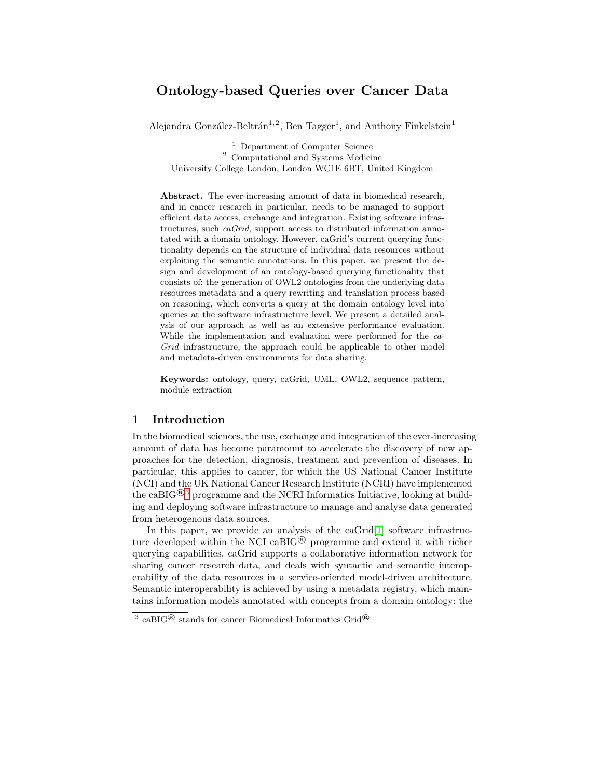# Ontology-based Queries over Cancer Data

Alejandra González-Beltrán<sup>1,2</sup>, Ben Tagger<sup>1</sup>, and Anthony Finkelstein<sup>1</sup>

 $\footnotesize{^{1}}$  Department of Computer Science  $\footnotesize{^{2}}$  Computational and Systems Medicine University College London, London WC1E 6BT, United Kingdom

Abstract. The ever-increasing amount of data in biomedical research, and in cancer research in particular, needs to be managed to support efficient data access, exchange and integration. Existing software infrastructures, such caGrid, support access to distributed information annotated with a domain ontology. However, caGrid's current querying functionality depends on the structure of individual data resources without exploiting the semantic annotations. In this paper, we present the design and development of an ontology-based querying functionality that consists of: the generation of OWL2 ontologies from the underlying data resources metadata and a query rewriting and translation process based on reasoning, which converts a query at the domain ontology level into queries at the software infrastructure level. We present a detailed analysis of our approach as well as an extensive performance evaluation. While the implementation and evaluation were performed for the ca-Grid infrastructure, the approach could be applicable to other model and metadata-driven environments for data sharing.

Keywords: ontology, query, caGrid, UML, OWL2, sequence pattern, module extraction

### 1 Introduction

In the biomedical sciences, the use, exchange and integration of the ever-increasing amount of data has become paramount to accelerate the discovery of new approaches for the detection, diagnosis, treatment and prevention of diseases. In particular, this applies to cancer, for which the US National Cancer Institute (NCI) and the UK National Cancer Research Institute (NCRI) have implemented the caBIG<sup>®3</sup> programme and the NCRI Informatics Initiative, looking at building and deploying software infrastructure to manage and analyse data generated from heterogenous data sources.

In this paper, we provide an analysis of the caGrid<sup>[\[1\]](#page-14-0)</sup> software infrastructure developed within the NCI caBIG® programme and extend it with richer querying capabilities. caGrid supports a collaborative information network for sharing cancer research data, and deals with syntactic and semantic interoperability of the data resources in a service-oriented model-driven architecture. Semantic interoperability is achieved by using a metadata registry, which maintains information models annotated with concepts from a domain ontology: the

<sup>&</sup>lt;sup>3</sup> caBIG<sup>®</sup> stands for cancer Biomedical Informatics Grid<sup>®</sup>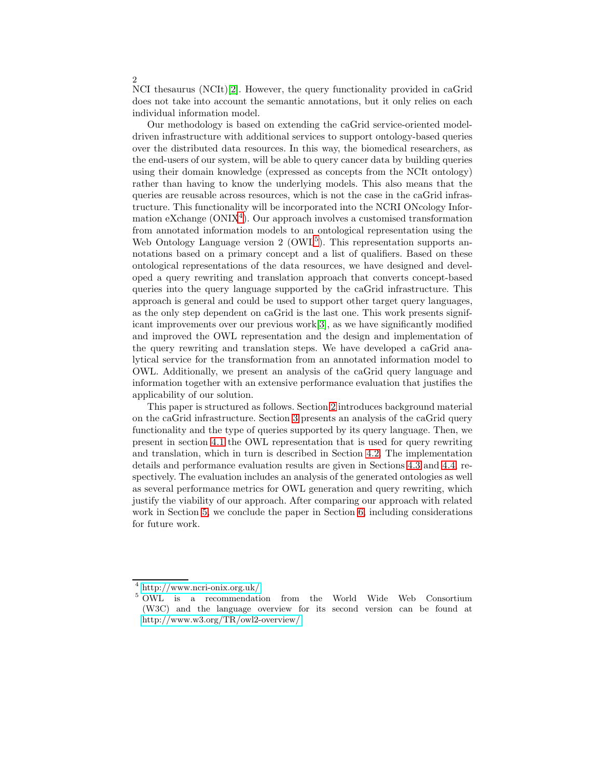NCI thesaurus (NCIt)[\[2\]](#page-14-1). However, the query functionality provided in caGrid does not take into account the semantic annotations, but it only relies on each individual information model.

Our methodology is based on extending the caGrid service-oriented modeldriven infrastructure with additional services to support ontology-based queries over the distributed data resources. In this way, the biomedical researchers, as the end-users of our system, will be able to query cancer data by building queries using their domain knowledge (expressed as concepts from the NCIt ontology) rather than having to know the underlying models. This also means that the queries are reusable across resources, which is not the case in the caGrid infrastructure. This functionality will be incorporated into the NCRI ONcology Information eXchange  $(ONIX<sup>4</sup>)$ . Our approach involves a customised transformation from annotated information models to an ontological representation using the Web Ontology Language version  $2 \, (OWL<sup>5</sup>)$ . This representation supports annotations based on a primary concept and a list of qualifiers. Based on these ontological representations of the data resources, we have designed and developed a query rewriting and translation approach that converts concept-based queries into the query language supported by the caGrid infrastructure. This approach is general and could be used to support other target query languages, as the only step dependent on caGrid is the last one. This work presents significant improvements over our previous work[\[3\]](#page-14-2), as we have significantly modified and improved the OWL representation and the design and implementation of the query rewriting and translation steps. We have developed a caGrid analytical service for the transformation from an annotated information model to OWL. Additionally, we present an analysis of the caGrid query language and information together with an extensive performance evaluation that justifies the applicability of our solution.

This paper is structured as follows. Section [2](#page-1-0) introduces background material on the caGrid infrastructure. Section [3](#page-3-0) presents an analysis of the caGrid query functionality and the type of queries supported by its query language. Then, we present in section [4.1](#page-5-0) the OWL representation that is used for query rewriting and translation, which in turn is described in Section [4.2.](#page-7-0) The implementation details and performance evaluation results are given in Sections [4.3](#page-9-0) and [4.4,](#page-9-1) respectively. The evaluation includes an analysis of the generated ontologies as well as several performance metrics for OWL generation and query rewriting, which justify the viability of our approach. After comparing our approach with related work in Section [5,](#page-12-0) we conclude the paper in Section [6,](#page-13-0) including considerations for future work.

<span id="page-1-0"></span> $^4$ <http://www.ncri-onix.org.uk/>  $^5$  OWL is a recommendation from the World Wide Web Consortium (W3C) and the language overview for its second version can be found at <http://www.w3.org/TR/owl2-overview/>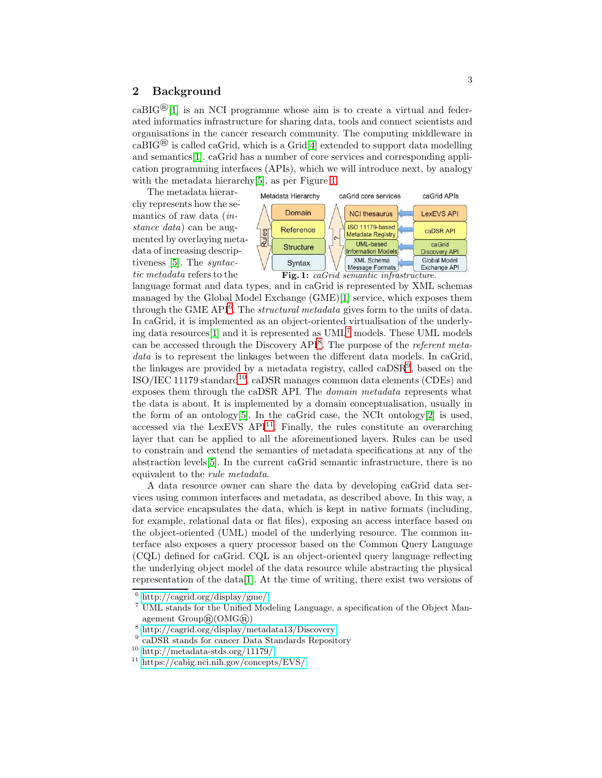## 2 Background

 $caBIG^{\circledR}[1]$  $caBIG^{\circledR}[1]$  is an NCI programme whose aim is to create a virtual and federated informatics infrastructure for sharing data, tools and connect scientists and organisations in the cancer research community. The computing middleware in  $caBIG^{\textcircled{B}}$  is called caGrid, which is a Grid[\[4\]](#page-14-3) extended to support data modelling and semantics[\[1\]](#page-14-0). caGrid has a number of core services and corresponding application programming interfaces (APIs), which we will introduce next, by analogy with the metadata hierarchy[\[5\]](#page-14-4), as per Figure [1.](#page-2-0)

<span id="page-2-0"></span>The metadata hierarchy represents how the semantics of raw data (instance data) can be augmented by overlaying metadata of increasing descriptiveness [\[5\]](#page-14-4). The syntactic metadata refers to the



Fig. 1: caGrid semantic infrastructure.

language format and data types, and in caGrid is represented by XML schemas managed by the Global Model Exchange (GME)[\[1\]](#page-14-0) service, which exposes them through the GME API $^6$ . The *structural metadata* gives form to the units of data. In caGrid, it is implemented as an object-oriented virtualisation of the underlying data resources[\[1\]](#page-14-0) and it is represented as UML<sup>7</sup> models. These UML models can be accessed through the Discovery  $API^8$ . The purpose of the *referent meta*data is to represent the linkages between the different data models. In caGrid, the linkages are provided by a metadata registry, called  $\text{caDSR}^9$ , based on the  $ISO/IEC 11179 standard^{10}$ . caDSR manages common data elements (CDEs) and exposes them through the caDSR API. The domain metadata represents what the data is about. It is implemented by a domain conceptualisation, usually in the form of an ontology $[5]$ . In the caGrid case, the NCIt ontology $[2]$  is used, accessed via the LexEVS API<sup>11</sup>. Finally, the rules constitute an overarching layer that can be applied to all the aforementioned layers. Rules can be used to constrain and extend the semantics of metadata specifications at any of the abstraction levels[\[5\]](#page-14-4). In the current caGrid semantic infrastructure, there is no equivalent to the rule metadata.

A data resource owner can share the data by developing caGrid data services using common interfaces and metadata, as described above. In this way, a data service encapsulates the data, which is kept in native formats (including, for example, relational data or flat files), exposing an access interface based on the object-oriented (UML) model of the underlying resource. The common interface also exposes a query processor based on the Common Query Language (CQL) defined for caGrid. CQL is an object-oriented query language reflecting the underlying object model of the data resource while abstracting the physical representation of the data[\[1\]](#page-14-0). At the time of writing, there exist two versions of

 $^6$ <http://cagrid.org/display/gme/><br> $^7$ UML stands for the Unified Modeling Language, a specification of the Object Management Group®(OMG®)<br>
<sup>8</sup> <http://cagrid.org/display/metadata13/Discovery><br>
<sup>9</sup> caDSR stands for cancer Data Standards Repository<br>
<sup>10</sup> <http://metadata-stds.org/11179/><br>
<sup>11</sup> <https://cabig.nci.nih.gov/concepts/EVS/>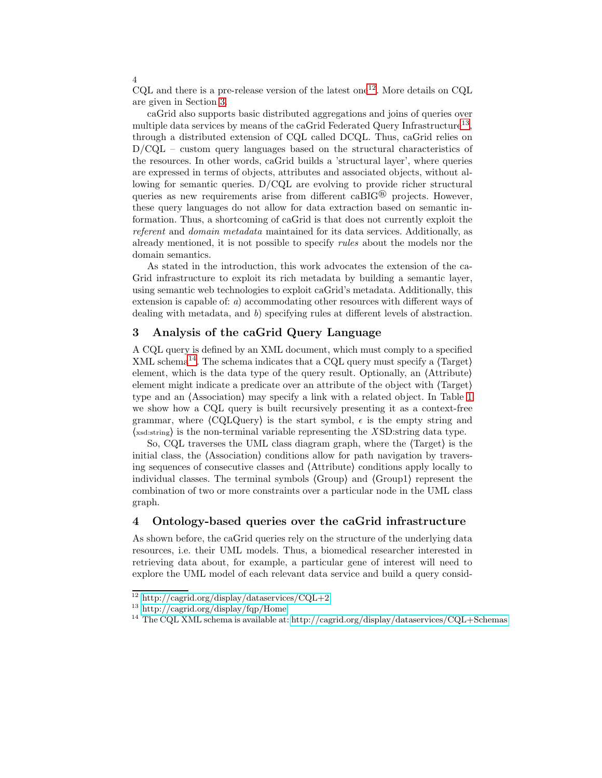$CQL$  and there is a pre-release version of the latest one<sup>12</sup>. More details on  $CQL$ are given in Section [3.](#page-3-0)

caGrid also supports basic distributed aggregations and joins of queries over multiple data services by means of the caGrid Federated Query Infrastructure<sup>13</sup>, through a distributed extension of CQL called DCQL. Thus, caGrid relies on D/CQL – custom query languages based on the structural characteristics of the resources. In other words, caGrid builds a 'structural layer', where queries are expressed in terms of objects, attributes and associated objects, without allowing for semantic queries. D/CQL are evolving to provide richer structural queries as new requirements arise from different  $caBIG^{\circledR}$  projects. However, these query languages do not allow for data extraction based on semantic information. Thus, a shortcoming of caGrid is that does not currently exploit the referent and domain metadata maintained for its data services. Additionally, as already mentioned, it is not possible to specify rules about the models nor the domain semantics.

As stated in the introduction, this work advocates the extension of the ca-Grid infrastructure to exploit its rich metadata by building a semantic layer, using semantic web technologies to exploit caGrid's metadata. Additionally, this extension is capable of: a) accommodating other resources with different ways of dealing with metadata, and b) specifying rules at different levels of abstraction.

## <span id="page-3-0"></span>3 Analysis of the caGrid Query Language

A CQL query is defined by an XML document, which must comply to a specified XML schema<sup>14</sup>. The schema indicates that a CQL query must specify a  $\langle Target \rangle$ element, which is the data type of the query result. Optionally, an ⟨Attribute⟩ element might indicate a predicate over an attribute of the object with ⟨Target⟩ type and an ⟨Association⟩ may specify a link with a related object. In Table [1](#page-4-0) we show how a CQL query is built recursively presenting it as a context-free grammar, where  $\langle \text{CQLQuery} \rangle$  is the start symbol,  $\epsilon$  is the empty string and  $\langle x_{\text{sd:string}} \rangle$  is the non-terminal variable representing the XSD:string data type.

So, CQL traverses the UML class diagram graph, where the ⟨Target⟩ is the initial class, the ⟨Association⟩ conditions allow for path navigation by traversing sequences of consecutive classes and ⟨Attribute⟩ conditions apply locally to individual classes. The terminal symbols ⟨Group⟩ and ⟨Group1⟩ represent the combination of two or more constraints over a particular node in the UML class graph.

### <span id="page-3-1"></span>4 Ontology-based queries over the caGrid infrastructure

As shown before, the caGrid queries rely on the structure of the underlying data resources, i.e. their UML models. Thus, a biomedical researcher interested in retrieving data about, for example, a particular gene of interest will need to explore the UML model of each relevant data service and build a query consid-

<sup>&</sup>lt;sup>12</sup> <http://cagrid.org/display/dataservices/CQL+2><br><sup>13</sup> <http://cagrid.org/display/fqp/Home><br><sup>14</sup> The CQL XML schema is available at:<http://cagrid.org/display/dataservices/CQL+Schemas>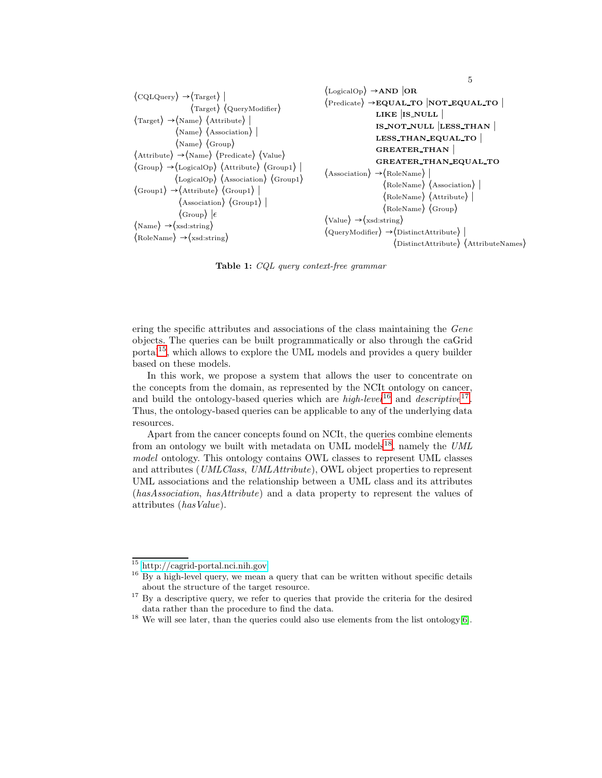<span id="page-4-0"></span>

| $\langle$ CQLQuery $\rangle \rightarrow \langle$ Target $\rangle$  <br>$\langle$ Target $\rangle$ $\langle$ QueryModifier $\rangle$<br>$\langle$ Target $\rangle \rightarrow \langle$ Name $\rangle \langle$ Attribute $\rangle$<br>$\langle$ Name $\rangle$ $\langle$ Association $\rangle$  <br>$\langle \text{Name} \rangle$ $\langle \text{Group} \rangle$<br>$\langle$ Attribute $\rangle \rightarrow \langle$ Name $\rangle$ $\langle$ Predicate $\rangle$ $\langle$ Value $\rangle$<br>$\langle \text{Group} \rangle \rightarrow \langle \text{LogicalOp} \rangle$ $\langle \text{Attribute} \rangle$ $\langle \text{Group1} \rangle$<br>$\langle$ LogicalOp $\rangle$ $\langle$ Association $\rangle$ $\langle$ Group1 $\rangle$<br>$\langle \text{Group1}\rangle \rightarrow \langle \text{Attribute}\rangle \langle \text{Group1}\rangle$<br>$\langle$ Association $\rangle$ $\langle$ Group1 $\rangle$  <br>$\langle \text{Group} \rangle \;   \epsilon \rangle$<br>$\langle \text{Name} \rangle \rightarrow \langle \text{xsd:string} \rangle$ | $\langle$ LogicalOp $\rangle \rightarrow$ AND OR<br>$\langle$ Predicate $\rangle \rightarrow$ EQUAL TO NOT EQUAL TO<br>LIKE IS_NULL<br>IS NOT NULL LESS THAN<br>LESS_THAN_EQUAL_TO<br><b>GREATER THAN</b><br><b>GREATER THAN EQUAL TO</b><br>$\langle$ Association $\rangle \rightarrow \langle$ RoleName $\rangle$  <br>$\langle$ RoleName $\rangle$ $\langle$ Association $\rangle$<br>$\langle$ RoleName $\rangle$ $\langle$ Attribute $\rangle$  <br>$\langle$ RoleName $\rangle$ $\langle$ Group $\rangle$<br>$\langle \text{Value} \rangle \rightarrow \langle \text{xsd:string} \rangle$<br>$\langle$ QueryModifier $\rangle \rightarrow$ (DistinctAttribute) |
|------------------------------------------------------------------------------------------------------------------------------------------------------------------------------------------------------------------------------------------------------------------------------------------------------------------------------------------------------------------------------------------------------------------------------------------------------------------------------------------------------------------------------------------------------------------------------------------------------------------------------------------------------------------------------------------------------------------------------------------------------------------------------------------------------------------------------------------------------------------------------------------------------------------------------------------------------------------------------------------------------------------------------------------------------------|----------------------------------------------------------------------------------------------------------------------------------------------------------------------------------------------------------------------------------------------------------------------------------------------------------------------------------------------------------------------------------------------------------------------------------------------------------------------------------------------------------------------------------------------------------------------------------------------------------------------------------------------------------------------|
| $\langle$ RoleName $\rangle \rightarrow \langle$ xsd:string $\rangle$                                                                                                                                                                                                                                                                                                                                                                                                                                                                                                                                                                                                                                                                                                                                                                                                                                                                                                                                                                                      | $\langle$ DistinctAttribute $\rangle$ $\langle$ AttributeNames $\rangle$                                                                                                                                                                                                                                                                                                                                                                                                                                                                                                                                                                                             |

5

Table 1: CQL query context-free grammar

ering the specific attributes and associations of the class maintaining the Gene objects. The queries can be built programmatically or also through the caGrid portal<sup>15</sup>, which allows to explore the UML models and provides a query builder based on these models.

In this work, we propose a system that allows the user to concentrate on the concepts from the domain, as represented by the NCIt ontology on cancer, and build the ontology-based queries which are  $high-level^{16}$  and  $descriptive^{17}$ . Thus, the ontology-based queries can be applicable to any of the underlying data resources.

Apart from the cancer concepts found on NCIt, the queries combine elements from an ontology we built with metadata on UML models<sup>18</sup>, namely the  $UML$ model ontology. This ontology contains OWL classes to represent UML classes and attributes (UMLClass, UMLAttribute), OWL object properties to represent UML associations and the relationship between a UML class and its attributes (hasAssociation, hasAttribute) and a data property to represent the values of attributes (hasValue).

 $15$ <http://cagrid-portal.nci.nih.gov>  $16$  By a high-level query, we mean a query that can be written without specific details about the structure of the target resource.

 $17$  By a descriptive query, we refer to queries that provide the criteria for the desired data rather than the procedure to find the data.

<sup>&</sup>lt;sup>18</sup> We will see later, than the queries could also use elements from the list ontology[\[6\]](#page-14-5).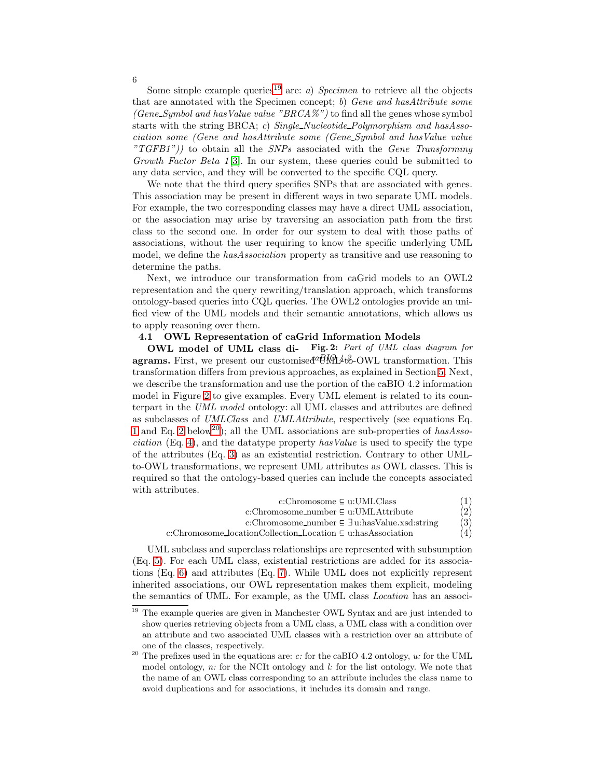Some simple example queries<sup>19</sup> are: *a*) Specimen to retrieve all the objects that are annotated with the Specimen concept; b) Gene and hasAttribute some (Gene Symbol and has Value value "BRCA%") to find all the genes whose symbol starts with the string BRCA; c) Single\_Nucleotide\_Polymorphism and hasAssociation some (Gene and hasAttribute some (Gene Symbol and hasValue value  $TGFB1")$  to obtain all the SNPs associated with the Gene Transforming Growth Factor Beta 1[\[3\]](#page-14-2). In our system, these queries could be submitted to any data service, and they will be converted to the specific CQL query.

We note that the third query specifies SNPs that are associated with genes. This association may be present in different ways in two separate UML models. For example, the two corresponding classes may have a direct UML association, or the association may arise by traversing an association path from the first class to the second one. In order for our system to deal with those paths of associations, without the user requiring to know the specific underlying UML model, we define the *hasAssociation* property as transitive and use reasoning to determine the paths.

Next, we introduce our transformation from caGrid models to an OWL2 representation and the query rewriting/translation approach, which transforms ontology-based queries into CQL queries. The OWL2 ontologies provide an unified view of the UML models and their semantic annotations, which allows us to apply reasoning over them.

### <span id="page-5-1"></span><span id="page-5-0"></span>4.1 OWL Representation of caGrid Information Models

OWL model of UML class di- Fig. 2: Part of UML class diagram for agrams. First, we present our customised  $W_1$ <sup>4</sup> $\&$ -OWL transformation. This transformation differs from previous approaches, as explained in Section [5.](#page-12-0) Next, we describe the transformation and use the portion of the caBIO 4.2 information model in Figure [2](#page-5-1) to give examples. Every UML element is related to its counterpart in the UML model ontology: all UML classes and attributes are defined as subclasses of UMLClass and UMLAttribute, respectively (see equations Eq. [1](#page-5-2) and Eq. [2](#page-5-2) below<sup>20</sup>); all the UML associations are sub-properties of hasAsso*ciation* (Eq. [4\)](#page-5-2), and the datatype property has Value is used to specify the type of the attributes (Eq. [3\)](#page-5-2) as an existential restriction. Contrary to other UMLto-OWL transformations, we represent UML attributes as OWL classes. This is required so that the ontology-based queries can include the concepts associated with attributes.

<span id="page-5-2"></span>

| $c:Chromosome \subseteq u: UMLClass$                                  |     |  |
|-----------------------------------------------------------------------|-----|--|
| c:Chromosome_number $\subseteq$ u:UMLAttribute                        | (2) |  |
| c:Chromosome_number $\subseteq \exists$ u:hasValue.xsd:string         | (3) |  |
| c:Chromosome_locationCollection_Location $\subseteq$ u:hasAssociation | (4) |  |

UML subclass and superclass relationships are represented with subsumption (Eq. [5\)](#page-6-0). For each UML class, existential restrictions are added for its associations (Eq. [6\)](#page-6-0) and attributes (Eq. [7\)](#page-6-0). While UML does not explicitly represent inherited associations, our OWL representation makes them explicit, modeling the semantics of UML. For example, as the UML class Location has an associ-

 $\frac{19}{19}$  The example queries are given in Manchester OWL Syntax and are just intended to show queries retrieving objects from a UML class, a UML class with a condition over an attribute and two associated UML classes with a restriction over an attribute of one of the classes, respectively.<br>The prefixes used in the equations are: c: for the caBIO 4.2 ontology, u: for the UML

model ontology,  $n:$  for the NCIt ontology and  $l:$  for the list ontology. We note that the name of an OWL class corresponding to an attribute includes the class name to avoid duplications and for associations, it includes its domain and range.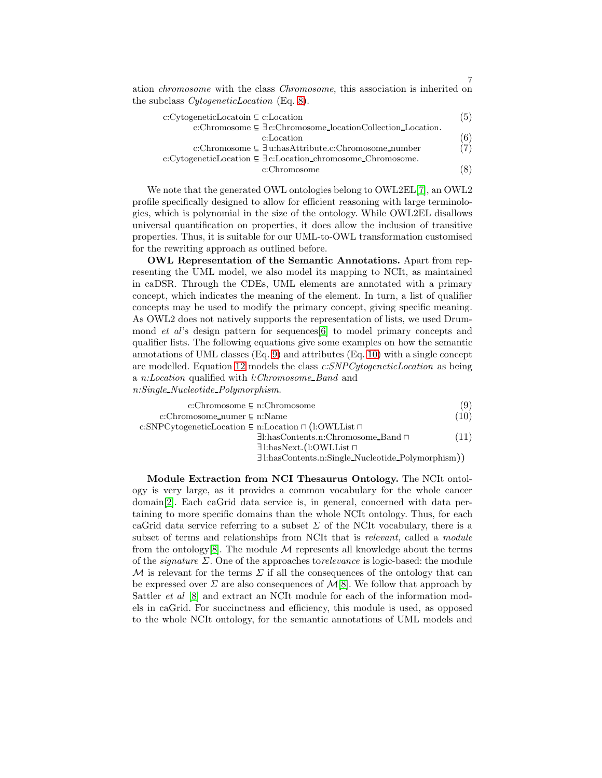ation chromosome with the class Chromosome, this association is inherited on the subclass CytogeneticLocation (Eq. [8\)](#page-6-0).

<span id="page-6-0"></span>

| (5) |
|-----|
|     |
| (6) |
| (7) |
|     |
| (8) |
|     |

7

We note that the generated OWL ontologies belong to OWL2EL[\[7\]](#page-14-6), an OWL2 profile specifically designed to allow for efficient reasoning with large terminologies, which is polynomial in the size of the ontology. While OWL2EL disallows universal quantification on properties, it does allow the inclusion of transitive properties. Thus, it is suitable for our UML-to-OWL transformation customised for the rewriting approach as outlined before.

OWL Representation of the Semantic Annotations. Apart from representing the UML model, we also model its mapping to NCIt, as maintained in caDSR. Through the CDEs, UML elements are annotated with a primary concept, which indicates the meaning of the element. In turn, a list of qualifier concepts may be used to modify the primary concept, giving specific meaning. As OWL2 does not natively supports the representation of lists, we used Drummond et al's design pattern for sequences[\[6\]](#page-14-5) to model primary concepts and qualifier lists. The following equations give some examples on how the semantic annotations of UML classes (Eq. [9\)](#page-6-1) and attributes (Eq. [10\)](#page-6-1) with a single concept are modelled. Equation [12](#page-6-1) models the class c:SNPCytogeneticLocation as being a n:Location qualified with l:Chromosome Band and n:Single Nucleotide Polymorphism.

<span id="page-6-1"></span>

| c:Chromosome $\subseteq$ n:Chromosome                                        |      |
|------------------------------------------------------------------------------|------|
| c:Chromosome_numer $\subseteq$ n:Name                                        | (10) |
| c:SNPCytogeneticLocation $\subseteq$ n:Location $\sqcap$ (1:OWLList $\sqcap$ |      |
| $\exists$ l:hasContents.n:Chromosome_Band $\sqcap$                           | (11) |
| $\exists$ l:hasNext.(l:OWLList $\sqcap$                                      |      |
| $\exists$ l:hasContents.n:Single_Nucleotide_Polymorphism $))$                |      |

Module Extraction from NCI Thesaurus Ontology. The NCIt ontology is very large, as it provides a common vocabulary for the whole cancer domain[\[2\]](#page-14-1). Each caGrid data service is, in general, concerned with data pertaining to more specific domains than the whole NCIt ontology. Thus, for each caGrid data service referring to a subset  $\Sigma$  of the NCIt vocabulary, there is a subset of terms and relationships from NCIt that is *relevant*, called a *module* from the ontology[\[8\]](#page-14-7). The module  $\mathcal M$  represents all knowledge about the terms of the *signature*  $\Sigma$ . One of the approaches to *relevance* is logic-based: the module M is relevant for the terms  $\Sigma$  if all the consequences of the ontology that can be expressed over  $\Sigma$  are also consequences of  $\mathcal{M}[8]$  $\mathcal{M}[8]$ . We follow that approach by Sattler *et al* [\[8\]](#page-14-7) and extract an NCIt module for each of the information models in caGrid. For succinctness and efficiency, this module is used, as opposed to the whole NCIt ontology, for the semantic annotations of UML models and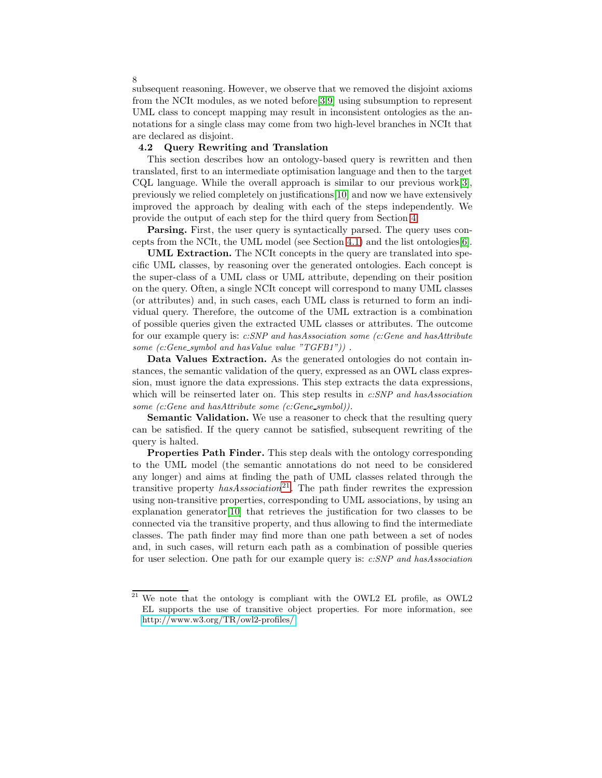subsequent reasoning. However, we observe that we removed the disjoint axioms from the NCIt modules, as we noted before[\[3,](#page-14-2)[9\]](#page-14-8) using subsumption to represent UML class to concept mapping may result in inconsistent ontologies as the annotations for a single class may come from two high-level branches in NCIt that are declared as disjoint.

### <span id="page-7-0"></span>4.2 Query Rewriting and Translation

This section describes how an ontology-based query is rewritten and then translated, first to an intermediate optimisation language and then to the target CQL language. While the overall approach is similar to our previous work $[3]$ , previously we relied completely on justifications[\[10\]](#page-14-9) and now we have extensively improved the approach by dealing with each of the steps independently. We provide the output of each step for the third query from Section [4.](#page-3-1)

Parsing. First, the user query is syntactically parsed. The query uses concepts from the NCIt, the UML model (see Section [4.1\)](#page-5-0) and the list ontologies[\[6\]](#page-14-5).

UML Extraction. The NCIt concepts in the query are translated into specific UML classes, by reasoning over the generated ontologies. Each concept is the super-class of a UML class or UML attribute, depending on their position on the query. Often, a single NCIt concept will correspond to many UML classes (or attributes) and, in such cases, each UML class is returned to form an individual query. Therefore, the outcome of the UML extraction is a combination of possible queries given the extracted UML classes or attributes. The outcome for our example query is: c:SNP and hasAssociation some (c:Gene and hasAttribute some  $(c:Gene\text{-}symbol\ and\ hasValue\ value\ "TGFB1")$ .

Data Values Extraction. As the generated ontologies do not contain instances, the semantic validation of the query, expressed as an OWL class expression, must ignore the data expressions. This step extracts the data expressions, which will be reinserted later on. This step results in c:SNP and hasAssociation some (c:Gene and hasAttribute some (c:Gene\_symbol)).

Semantic Validation. We use a reasoner to check that the resulting query can be satisfied. If the query cannot be satisfied, subsequent rewriting of the query is halted.

Properties Path Finder. This step deals with the ontology corresponding to the UML model (the semantic annotations do not need to be considered any longer) and aims at finding the path of UML classes related through the transitive property  $has Association^{21}$ . The path finder rewrites the expression using non-transitive properties, corresponding to UML associations, by using an explanation generator[\[10\]](#page-14-9) that retrieves the justification for two classes to be connected via the transitive property, and thus allowing to find the intermediate classes. The path finder may find more than one path between a set of nodes and, in such cases, will return each path as a combination of possible queries for user selection. One path for our example query is: c:SNP and hasAssociation

 $21$  We note that the ontology is compliant with the OWL2 EL profile, as OWL2 EL supports the use of transitive object properties. For more information, see <http://www.w3.org/TR/owl2-profiles/>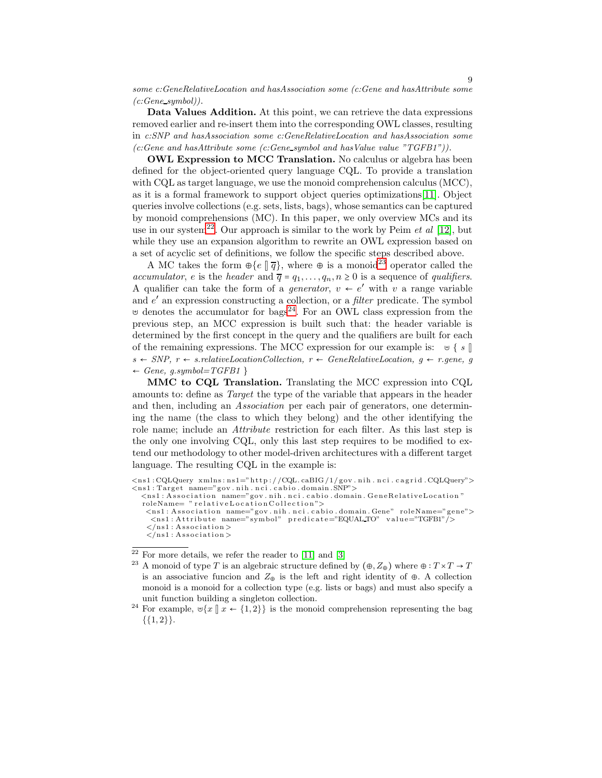some c:GeneRelativeLocation and hasAssociation some (c:Gene and hasAttribute some  $(c:Genesymbol))$ .

Data Values Addition. At this point, we can retrieve the data expressions removed earlier and re-insert them into the corresponding OWL classes, resulting in c:SNP and hasAssociation some c:GeneRelativeLocation and hasAssociation some  $(c:Gene \ and \ hasAttribute \ some \ (c:Gene \ symbol \ and \ hasValue \ value \ "TGFB1").$ 

OWL Expression to MCC Translation. No calculus or algebra has been defined for the object-oriented query language CQL. To provide a translation with CQL as target language, we use the monoid comprehension calculus (MCC), as it is a formal framework to support object queries optimizations[\[11\]](#page-14-10). Object queries involve collections (e.g. sets, lists, bags), whose semantics can be captured by monoid comprehensions (MC). In this paper, we only overview MCs and its use in our system<sup>22</sup>. Our approach is similar to the work by Peim *et al* [\[12\]](#page-14-11), but while they use an expansion algorithm to rewrite an OWL expression based on a set of acyclic set of definitions, we follow the specific steps described above.

A MC takes the form  $\oplus \{e \mid \overline{q}\}\$ , where  $\oplus$  is a monoid<sup>23</sup> operator called the accumulator, e is the header and  $\overline{q} = q_1, \ldots, q_n, n \ge 0$  is a sequence of qualifiers. A qualifier can take the form of a *generator*,  $v \leftarrow e'$  with v a range variable and  $e'$  an expression constructing a collection, or a *filter* predicate. The symbol ⊎ denotes the accumulator for bags<sup>24</sup>. For an OWL class expression from the previous step, an MCC expression is built such that: the header variable is determined by the first concept in the query and the qualifiers are built for each of the remaining expressions. The MCC expression for our example is: ⊎ { s ||  $s \leftarrow SNP, r \leftarrow s.relativeLocationCollection, r \leftarrow GeneRelativeLocation, g \leftarrow r. gene, g$  $\leftarrow$  Gene, g.symbol=TGFB1 }

MMC to CQL Translation. Translating the MCC expression into CQL amounts to: define as Target the type of the variable that appears in the header and then, including an Association per each pair of generators, one determining the name (the class to which they belong) and the other identifying the role name; include an Attribute restriction for each filter. As this last step is the only one involving CQL, only this last step requires to be modified to extend our methodology to other model-driven architectures with a different target language. The resulting CQL in the example is:

<sup>&</sup>lt;ns1 : CQLQuery xmlns : ns1="http ://CQL.caBIG/1/gov.nih .nci .cagrid .CQLQuery"><br><ns1 : Target name="gov.nih .nci .cabio .domain .SNP">

 $\langle$ ns1 : Association name="gov.nih.nci.cabio.domain.GeneRelativeLocation" roleName= " relativeLocation Collection">  $\leq$ ns1 : Association name="gov.nih.nci.cabio.domain.Gene" roleName="gene">

 $\leq$ ns1 : Attribute name="symbol" predicate="EQUAL TO" value="TGFB1"/>  $\langle$ /ns1: Association  $>$  $\langle$ /ns1: Association >

<sup>&</sup>lt;sup>22</sup> For more details, we refer the reader to [\[11\]](#page-14-10) and [\[3\]](#page-14-2) <br><sup>23</sup> A monoid of type T is an algebraic structure defined by  $(\oplus, Z_{\oplus})$  where  $\oplus : T \times T \to T$ is an associative funcion and  $Z_{\oplus}$  is the left and right identity of  $\oplus$ . A collection monoid is a monoid for a collection type (e.g. lists or bags) and must also specify a unit function building a singleton collection.<br><sup>24</sup> For example, ⊎{x  $\|x \leftarrow \{1,2\} \}$  is the monoid comprehension representing the bag

 ${ \{1,2\} }$ .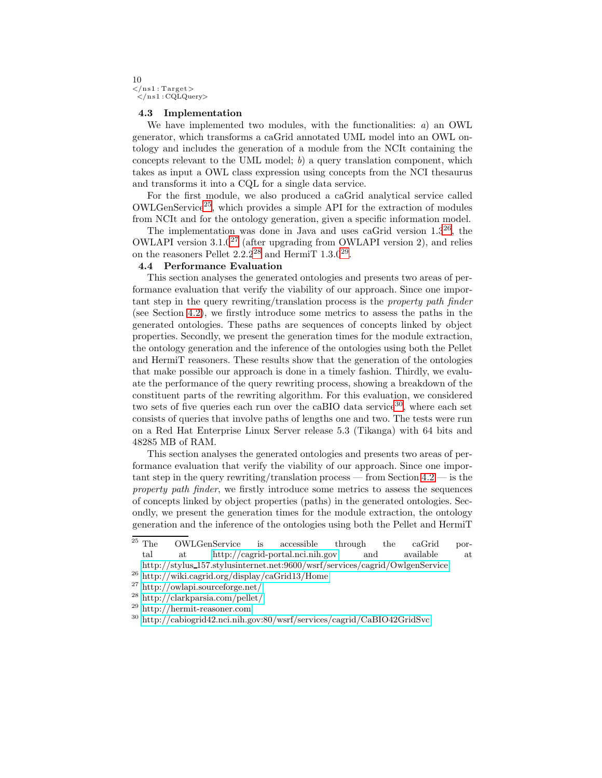#### 10  $\langle$ /ns1: Target $>$  $\langle$ /ns1:CQLQuery>

### <span id="page-9-0"></span>4.3 Implementation

We have implemented two modules, with the functionalities: a) an OWL generator, which transforms a caGrid annotated UML model into an OWL ontology and includes the generation of a module from the NCIt containing the concepts relevant to the UML model;  $b$ ) a query translation component, which takes as input a OWL class expression using concepts from the NCI thesaurus and transforms it into a CQL for a single data service.

For the first module, we also produced a caGrid analytical service called OWLGenService25, which provides a simple API for the extraction of modules from NCIt and for the ontology generation, given a specific information model.

The implementation was done in Java and uses caGrid version  $1.3^{26}$ , the OWLAPI version  $3.1.0^{27}$  (after upgrading from OWLAPI version 2), and relies on the reasoners Pellet  $2.2.2^{28}$  and HermiT  $1.3.0^{29}$ .

## <span id="page-9-1"></span>4.4 Performance Evaluation

This section analyses the generated ontologies and presents two areas of performance evaluation that verify the viability of our approach. Since one important step in the query rewriting/translation process is the property path finder (see Section [4.2\)](#page-7-0), we firstly introduce some metrics to assess the paths in the generated ontologies. These paths are sequences of concepts linked by object properties. Secondly, we present the generation times for the module extraction, the ontology generation and the inference of the ontologies using both the Pellet and HermiT reasoners. These results show that the generation of the ontologies that make possible our approach is done in a timely fashion. Thirdly, we evaluate the performance of the query rewriting process, showing a breakdown of the constituent parts of the rewriting algorithm. For this evaluation, we considered two sets of five queries each run over the caBIO data service<sup>30</sup>, where each set consists of queries that involve paths of lengths one and two. The tests were run on a Red Hat Enterprise Linux Server release 5.3 (Tikanga) with 64 bits and 48285 MB of RAM.

This section analyses the generated ontologies and presents two areas of performance evaluation that verify the viability of our approach. Since one important step in the query rewriting/translation process — from Section [4.2](#page-7-0) — is the property path finder, we firstly introduce some metrics to assess the sequences of concepts linked by object properties (paths) in the generated ontologies. Secondly, we present the generation times for the module extraction, the ontology generation and the inference of the ontologies using both the Pellet and HermiT

<sup>&</sup>lt;sup>25</sup> The OWLGenService is accessible through the caGrid portal at<http://cagrid-portal.nci.nih.gov> and available at

http://stylus\_[157.stylusinternet.net:9600/wsrf/services/cagrid/OwlgenService](http://stylus_157.stylusinternet.net:9600/wsrf/services/cagrid/OwlgenService)  $^{26}$ <http://wiki.cagrid.org/display/caGrid13/Home>  $^{27}$ <http://owlapi.sourceforge.net/> $^{28}$ <http://clarkparsia.com/pellet/> $^{29}$ http://clarkpar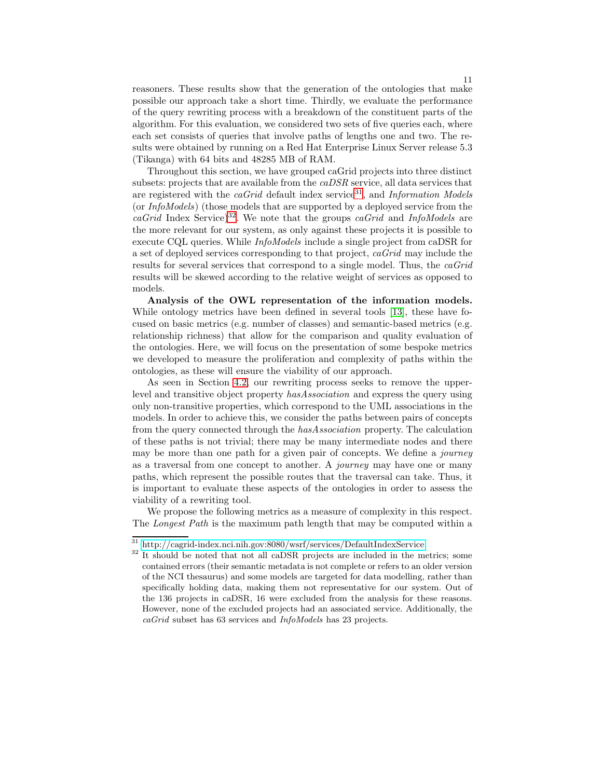reasoners. These results show that the generation of the ontologies that make possible our approach take a short time. Thirdly, we evaluate the performance of the query rewriting process with a breakdown of the constituent parts of the algorithm. For this evaluation, we considered two sets of five queries each, where each set consists of queries that involve paths of lengths one and two. The results were obtained by running on a Red Hat Enterprise Linux Server release 5.3 (Tikanga) with 64 bits and 48285 MB of RAM.

Throughout this section, we have grouped caGrid projects into three distinct subsets: projects that are available from the caDSR service, all data services that are registered with the  $caGrid$  default index service<sup>31</sup>, and *Information Models* (or InfoModels) (those models that are supported by a deployed service from the  $caGrid$  Index Service)<sup>32</sup>. We note that the groups  $caGrid$  and InfoModels are the more relevant for our system, as only against these projects it is possible to execute CQL queries. While InfoModels include a single project from caDSR for a set of deployed services corresponding to that project, caGrid may include the results for several services that correspond to a single model. Thus, the caGrid results will be skewed according to the relative weight of services as opposed to models.

Analysis of the OWL representation of the information models. While ontology metrics have been defined in several tools [\[13\]](#page-14-12), these have focused on basic metrics (e.g. number of classes) and semantic-based metrics (e.g. relationship richness) that allow for the comparison and quality evaluation of the ontologies. Here, we will focus on the presentation of some bespoke metrics we developed to measure the proliferation and complexity of paths within the ontologies, as these will ensure the viability of our approach.

As seen in Section [4.2,](#page-7-0) our rewriting process seeks to remove the upperlevel and transitive object property hasAssociation and express the query using only non-transitive properties, which correspond to the UML associations in the models. In order to achieve this, we consider the paths between pairs of concepts from the query connected through the hasAssociation property. The calculation of these paths is not trivial; there may be many intermediate nodes and there may be more than one path for a given pair of concepts. We define a *journey* as a traversal from one concept to another. A journey may have one or many paths, which represent the possible routes that the traversal can take. Thus, it is important to evaluate these aspects of the ontologies in order to assess the viability of a rewriting tool.

We propose the following metrics as a measure of complexity in this respect. The Longest Path is the maximum path length that may be computed within a

 $\,^{31}$ <http://cagrid-index.nci.nih.gov:8080/wsrf/services/DefaultIndexService>  $\,^{32}$  It should be noted that not all caDSR projects are included in the metrics; some contained errors (their semantic metadata is not complete or refers to an older version of the NCI thesaurus) and some models are targeted for data modelling, rather than specifically holding data, making them not representative for our system. Out of the 136 projects in caDSR, 16 were excluded from the analysis for these reasons. However, none of the excluded projects had an associated service. Additionally, the caGrid subset has 63 services and InfoModels has 23 projects.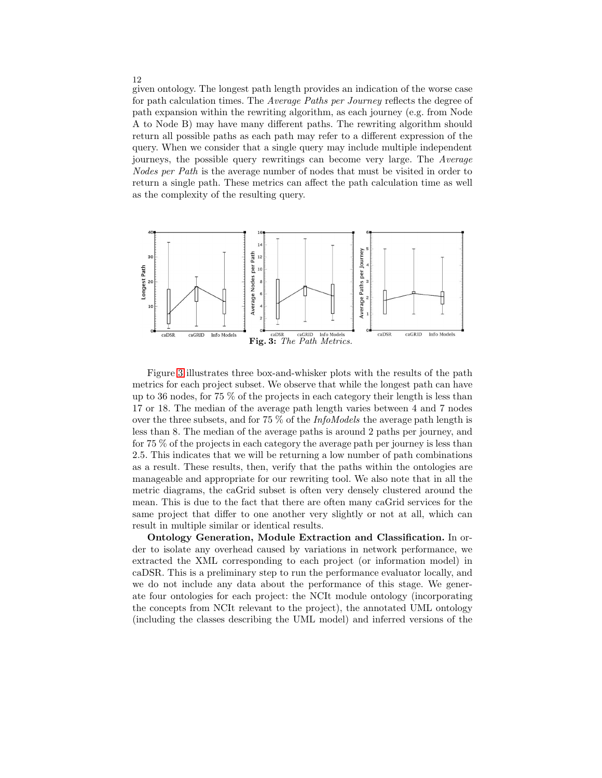given ontology. The longest path length provides an indication of the worse case for path calculation times. The Average Paths per Journey reflects the degree of path expansion within the rewriting algorithm, as each journey (e.g. from Node A to Node B) may have many different paths. The rewriting algorithm should return all possible paths as each path may refer to a different expression of the query. When we consider that a single query may include multiple independent journeys, the possible query rewritings can become very large. The Average Nodes per Path is the average number of nodes that must be visited in order to return a single path. These metrics can affect the path calculation time as well as the complexity of the resulting query.

<span id="page-11-0"></span>

Figure [3](#page-11-0) illustrates three box-and-whisker plots with the results of the path metrics for each project subset. We observe that while the longest path can have up to 36 nodes, for 75 % of the projects in each category their length is less than 17 or 18. The median of the average path length varies between 4 and 7 nodes over the three subsets, and for 75  $\%$  of the *InfoModels* the average path length is less than 8. The median of the average paths is around 2 paths per journey, and for 75 % of the projects in each category the average path per journey is less than 2.5. This indicates that we will be returning a low number of path combinations as a result. These results, then, verify that the paths within the ontologies are manageable and appropriate for our rewriting tool. We also note that in all the metric diagrams, the caGrid subset is often very densely clustered around the mean. This is due to the fact that there are often many caGrid services for the same project that differ to one another very slightly or not at all, which can result in multiple similar or identical results.

Ontology Generation, Module Extraction and Classification. In order to isolate any overhead caused by variations in network performance, we extracted the XML corresponding to each project (or information model) in caDSR. This is a preliminary step to run the performance evaluator locally, and we do not include any data about the performance of this stage. We generate four ontologies for each project: the NCIt module ontology (incorporating the concepts from NCIt relevant to the project), the annotated UML ontology (including the classes describing the UML model) and inferred versions of the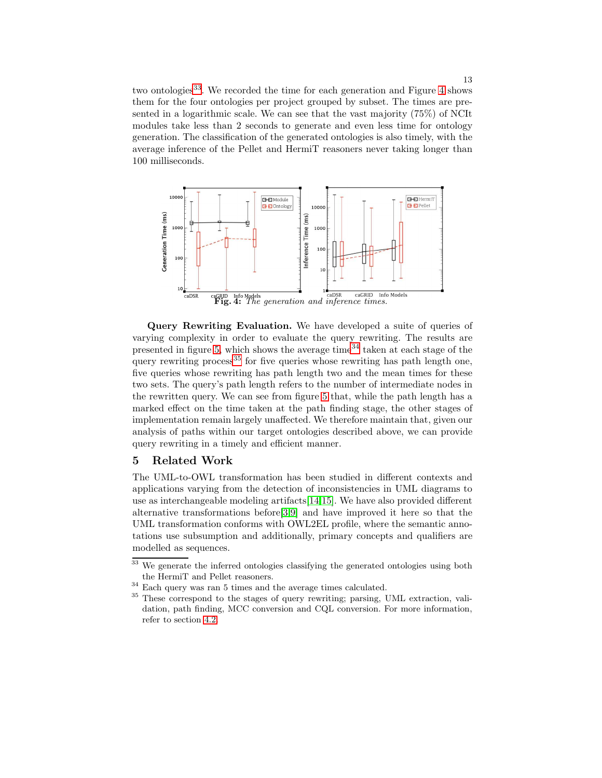two ontologies<sup>33</sup>. We recorded the time for each generation and Figure [4](#page-12-1) shows them for the four ontologies per project grouped by subset. The times are presented in a logarithmic scale. We can see that the vast majority (75%) of NCIt modules take less than 2 seconds to generate and even less time for ontology generation. The classification of the generated ontologies is also timely, with the average inference of the Pellet and HermiT reasoners never taking longer than 100 milliseconds.

<span id="page-12-1"></span>

Query Rewriting Evaluation. We have developed a suite of queries of varying complexity in order to evaluate the query rewriting. The results are presented in figure [5,](#page-13-1) which shows the average time<sup>34</sup> taken at each stage of the query rewriting process<sup>35</sup> for five queries whose rewriting has path length one, five queries whose rewriting has path length two and the mean times for these two sets. The query's path length refers to the number of intermediate nodes in the rewritten query. We can see from figure [5](#page-13-1) that, while the path length has a marked effect on the time taken at the path finding stage, the other stages of implementation remain largely unaffected. We therefore maintain that, given our analysis of paths within our target ontologies described above, we can provide query rewriting in a timely and efficient manner.

### <span id="page-12-0"></span>5 Related Work

The UML-to-OWL transformation has been studied in different contexts and applications varying from the detection of inconsistencies in UML diagrams to use as interchangeable modeling artifacts[\[14](#page-14-13)[,15\]](#page-14-14). We have also provided different alternative transformations before[\[3,](#page-14-2)[9\]](#page-14-8) and have improved it here so that the UML transformation conforms with OWL2EL profile, where the semantic annotations use subsumption and additionally, primary concepts and qualifiers are modelled as sequences.

 $\frac{33}{33}$  We generate the inferred ontologies classifying the generated ontologies using both

the HermiT and Pellet reasoners.<br> $34$  Each query was ran 5 times and the average times calculated.<br> $35$  These correspond to the stages of query rewriting; parsing, UML extraction, validation, path finding, MCC conversion and CQL conversion. For more information, refer to section [4.2.](#page-7-0)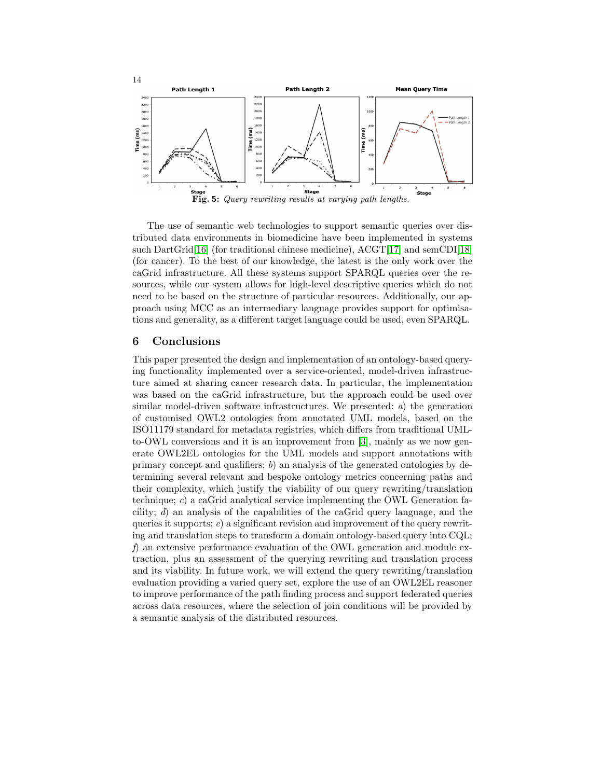<span id="page-13-1"></span>

The use of semantic web technologies to support semantic queries over distributed data environments in biomedicine have been implemented in systems such DartGrid[\[16\]](#page-14-15) (for traditional chinese medicine), ACGT[\[17\]](#page-14-16) and semCDI[\[18\]](#page-14-17) (for cancer). To the best of our knowledge, the latest is the only work over the caGrid infrastructure. All these systems support SPARQL queries over the resources, while our system allows for high-level descriptive queries which do not need to be based on the structure of particular resources. Additionally, our approach using MCC as an intermediary language provides support for optimisations and generality, as a different target language could be used, even SPARQL.

## <span id="page-13-0"></span>6 Conclusions

This paper presented the design and implementation of an ontology-based querying functionality implemented over a service-oriented, model-driven infrastructure aimed at sharing cancer research data. In particular, the implementation was based on the caGrid infrastructure, but the approach could be used over similar model-driven software infrastructures. We presented:  $a$ ) the generation of customised OWL2 ontologies from annotated UML models, based on the ISO11179 standard for metadata registries, which differs from traditional UMLto-OWL conversions and it is an improvement from [\[3\]](#page-14-2), mainly as we now generate OWL2EL ontologies for the UML models and support annotations with primary concept and qualifiers; b) an analysis of the generated ontologies by determining several relevant and bespoke ontology metrics concerning paths and their complexity, which justify the viability of our query rewriting/translation technique; c) a caGrid analytical service implementing the OWL Generation facility; d) an analysis of the capabilities of the caGrid query language, and the queries it supports;  $e$ ) a significant revision and improvement of the query rewriting and translation steps to transform a domain ontology-based query into CQL; f) an extensive performance evaluation of the OWL generation and module extraction, plus an assessment of the querying rewriting and translation process and its viability. In future work, we will extend the query rewriting/translation evaluation providing a varied query set, explore the use of an OWL2EL reasoner to improve performance of the path finding process and support federated queries across data resources, where the selection of join conditions will be provided by a semantic analysis of the distributed resources.